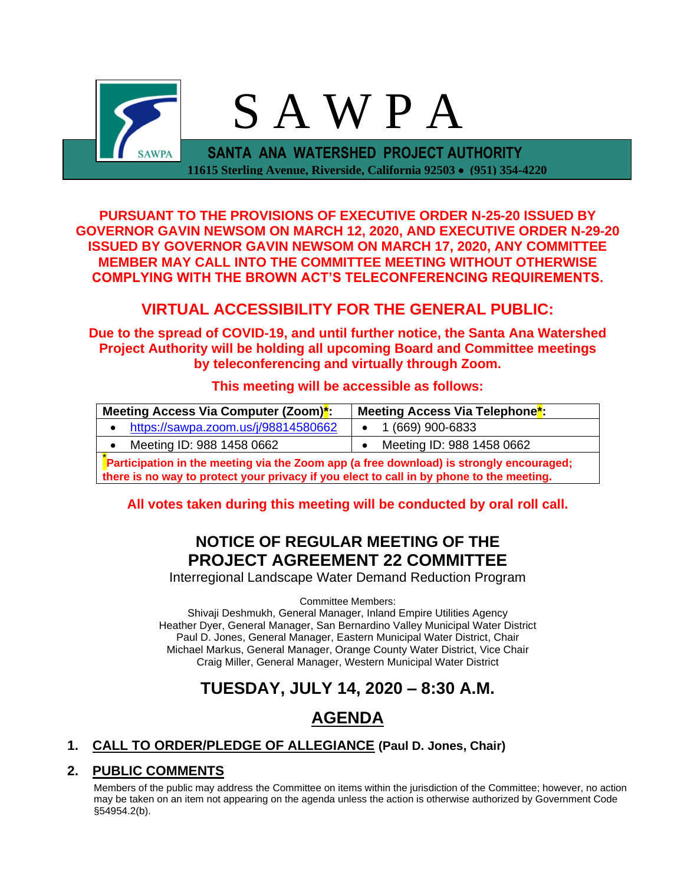

**PURSUANT TO THE PROVISIONS OF EXECUTIVE ORDER N-25-20 ISSUED BY GOVERNOR GAVIN NEWSOM ON MARCH 12, 2020, AND EXECUTIVE ORDER N-29-20 ISSUED BY GOVERNOR GAVIN NEWSOM ON MARCH 17, 2020, ANY COMMITTEE MEMBER MAY CALL INTO THE COMMITTEE MEETING WITHOUT OTHERWISE COMPLYING WITH THE BROWN ACT'S TELECONFERENCING REQUIREMENTS.**

## **VIRTUAL ACCESSIBILITY FOR THE GENERAL PUBLIC:**

**Due to the spread of COVID-19, and until further notice, the Santa Ana Watershed Project Authority will be holding all upcoming Board and Committee meetings by teleconferencing and virtually through Zoom.**

### **This meeting will be accessible as follows:**

| Meeting Access Via Computer (Zoom) <sup>*</sup> :                                                                                                                                   | Meeting Access Via Telephone <sup>*</sup> |  |  |
|-------------------------------------------------------------------------------------------------------------------------------------------------------------------------------------|-------------------------------------------|--|--|
| https://sawpa.zoom.us/j/98814580662<br>$\bullet$                                                                                                                                    | $\bullet$ 1 (669) 900-6833                |  |  |
| Meeting ID: 988 1458 0662<br>$\bullet$                                                                                                                                              | Meeting ID: 988 1458 0662                 |  |  |
| Participation in the meeting via the Zoom app (a free download) is strongly encouraged;<br>there is no way to protect your privacy if you elect to call in by phone to the meeting. |                                           |  |  |

**All votes taken during this meeting will be conducted by oral roll call.**

## **NOTICE OF REGULAR MEETING OF THE PROJECT AGREEMENT 22 COMMITTEE**

Interregional Landscape Water Demand Reduction Program

Committee Members:

Shivaji Deshmukh, General Manager, Inland Empire Utilities Agency Heather Dyer, General Manager, San Bernardino Valley Municipal Water District Paul D. Jones, General Manager, Eastern Municipal Water District, Chair Michael Markus, General Manager, Orange County Water District, Vice Chair Craig Miller, General Manager, Western Municipal Water District

# **TUESDAY, JULY 14, 2020 – 8:30 A.M.**

# **AGENDA**

## **1. CALL TO ORDER/PLEDGE OF ALLEGIANCE (Paul D. Jones, Chair)**

## **2. PUBLIC COMMENTS**

Members of the public may address the Committee on items within the jurisdiction of the Committee; however, no action may be taken on an item not appearing on the agenda unless the action is otherwise authorized by Government Code §54954.2(b).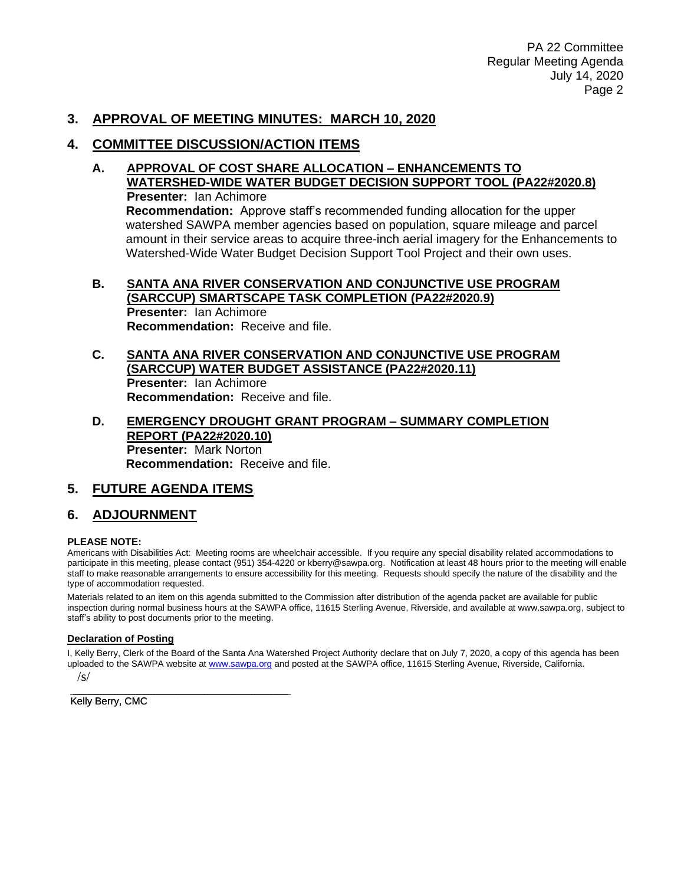### **3. APPROVAL OF MEETING MINUTES: MARCH 10, 2020**

### **4. COMMITTEE DISCUSSION/ACTION ITEMS**

**A. APPROVAL OF COST SHARE ALLOCATION – ENHANCEMENTS TO WATERSHED-WIDE WATER BUDGET DECISION SUPPORT TOOL (PA22#2020.8) Presenter:** Ian Achimore **Recommendation:** Approve staff's recommended funding allocation for the upper watershed SAWPA member agencies based on population, square mileage and parcel amount in their service areas to acquire three-inch aerial imagery for the Enhancements to Watershed-Wide Water Budget Decision Support Tool Project and their own uses.

#### **B. SANTA ANA RIVER CONSERVATION AND CONJUNCTIVE USE PROGRAM (SARCCUP) SMARTSCAPE TASK COMPLETION (PA22#2020.9) Presenter:** Ian Achimore **Recommendation:** Receive and file.

#### **C. SANTA ANA RIVER CONSERVATION AND CONJUNCTIVE USE PROGRAM (SARCCUP) WATER BUDGET ASSISTANCE (PA22#2020.11) Presenter:** Ian Achimore **Recommendation:** Receive and file.

**D. EMERGENCY DROUGHT GRANT PROGRAM – SUMMARY COMPLETION REPORT (PA22#2020.10) Presenter:** Mark Norton **Recommendation:** Receive and file.

## **5. FUTURE AGENDA ITEMS**

\_\_\_\_\_\_\_\_\_\_\_\_\_\_\_\_\_\_\_\_\_\_\_\_\_\_\_\_\_\_\_\_\_\_\_\_\_\_\_

### **6. ADJOURNMENT**

#### **PLEASE NOTE:**

Americans with Disabilities Act: Meeting rooms are wheelchair accessible. If you require any special disability related accommodations to participate in this meeting, please contact (951) 354-4220 or kberry@sawpa.org. Notification at least 48 hours prior to the meeting will enable staff to make reasonable arrangements to ensure accessibility for this meeting. Requests should specify the nature of the disability and the type of accommodation requested.

Materials related to an item on this agenda submitted to the Commission after distribution of the agenda packet are available for public inspection during normal business hours at the SAWPA office, 11615 Sterling Avenue, Riverside, and available at www.sawpa.org, subject to staff's ability to post documents prior to the meeting.

#### **Declaration of Posting**

I, Kelly Berry, Clerk of the Board of the Santa Ana Watershed Project Authority declare that on July 7, 2020, a copy of this agenda has been uploaded to the SAWPA website at [www.sawpa.org](http://www.sawpa.org/) and posted at the SAWPA office, 11615 Sterling Avenue, Riverside, California.  $\sqrt{s}$ 

Kelly Berry, CMC